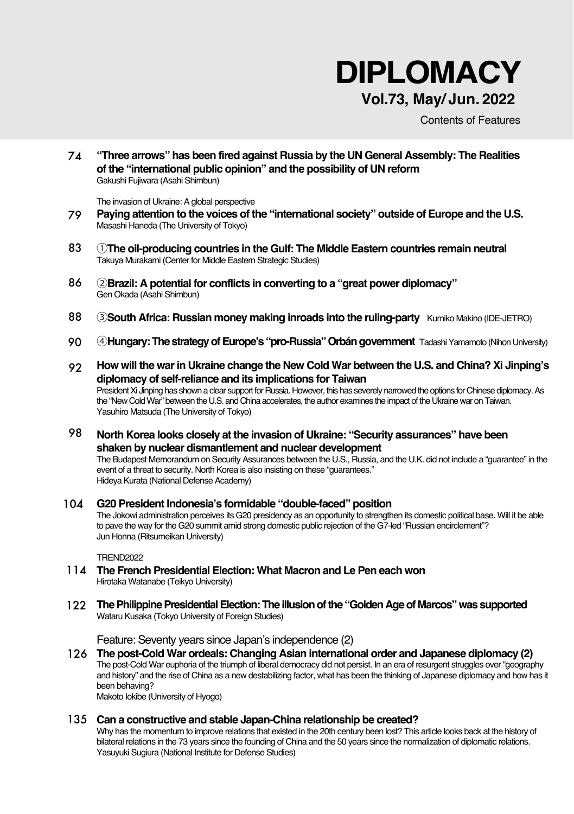# **DIPLOMACY**

### **Vol.73, May/ Jun. 2022**

Contents of Features

6 74 **"Three arrows" has been fired against Russia by the UN General Assembly: The Realities of the "international public opinion" and the possibility of UN reform** Gakushi Fujiwara (Asahi Shimbun)

The invasion of Ukraine: A global perspective

- 79 **Paying attention to the voices of the "international society" outside of Europe and the U.S.** Masashi Haneda (The University of Tokyo)
- 83 ①**The oil-producing countries in the Gulf: The Middle Eastern countries remain neutral** Takuya Murakami (Center for Middle Eastern Strategic Studies)
- 86 ②**Brazil: A potential for conflicts in converting to a "great power diplomacy"** Gen Okada (Asahi Shimbun)
- 88 ③**South Africa: Russian money making inroads into the ruling-party** Kumiko Makino (IDE-JETRO)
- 90 ④**Hungary: The strategy of Europe's "pro-Russia" Orbán government** Tadashi Yamamoto (Nihon University)
- 92 **How will the war in Ukraine change the New Cold War between the U.S. and China? Xi Jinping's diplomacy of self-reliance and its implications for Taiwan** President Xi Jinping has shown a clear support for Russia. However, this has severely narrowed the options for Chinese diplomacy. As

the "New Cold War" between the U.S. and China accelerates, the author examines the impact of the Ukraine war on Taiwan. Yasuhiro Matsuda (The University of Tokyo)

98 **North Korea looks closely at the invasion of Ukraine: "Security assurances" have been shaken by nuclear dismantlement and nuclear development**

The Budapest Memorandum on Security Assurances between the U.S., Russia, and the U.K. did not include a "guarantee" in the event of a threat to security. North Korea is also insisting on these "guarantees." Hideya Kurata (National Defense Academy)

104 **G20 President Indonesia's formidable "double-faced" position** The Jokowi administration perceives its G20 presidency as an opportunity to strengthen its domestic political base. Will it be able to pave the way for the G20 summit amid strong domestic public rejection of the G7-led "Russian encirclement"? Jun Honna (Ritsumeikan University)

**TREND2022** 

- 114 **The French Presidential Election: What Macron and Le Pen each won** Hirotaka Watanabe (Teikyo University)
- 122 **The Philippine Presidential Election: The illusion of the "Golden Age of Marcos" was supported** Wataru Kusaka (Tokyo University of Foreign Studies)

Feature: Seventy years since Japan's independence (2)

126 **The post-Cold War ordeals: Changing Asian international order and Japanese diplomacy (2)** The post-Cold War euphoria of the triumph of liberal democracy did not persist. In an era of resurgent struggles over "geography and history" and the rise of China as a new destabilizing factor, what has been the thinking of Japanese diplomacy and how has it been behaving?

Makoto Iokibe (University of Hyogo)

### 135 **Can a constructive and stable Japan-China relationship be created?**

Why has the momentum to improve relations that existed in the 20th century been lost? This article looks back at the history of bilateral relations in the 73 years since the founding of China and the 50 years since the normalization of diplomatic relations. Yasuyuki Sugiura (National Institute for Defense Studies)